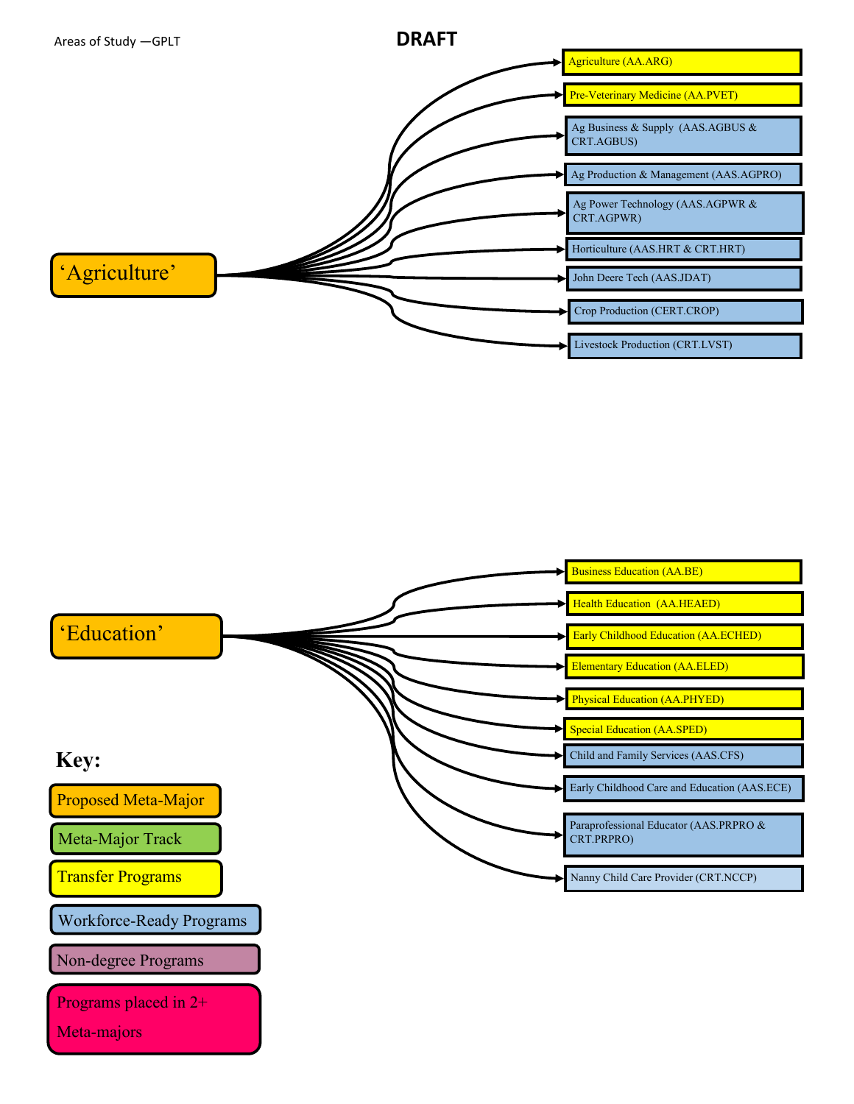



Programs placed in 2+

Meta-majors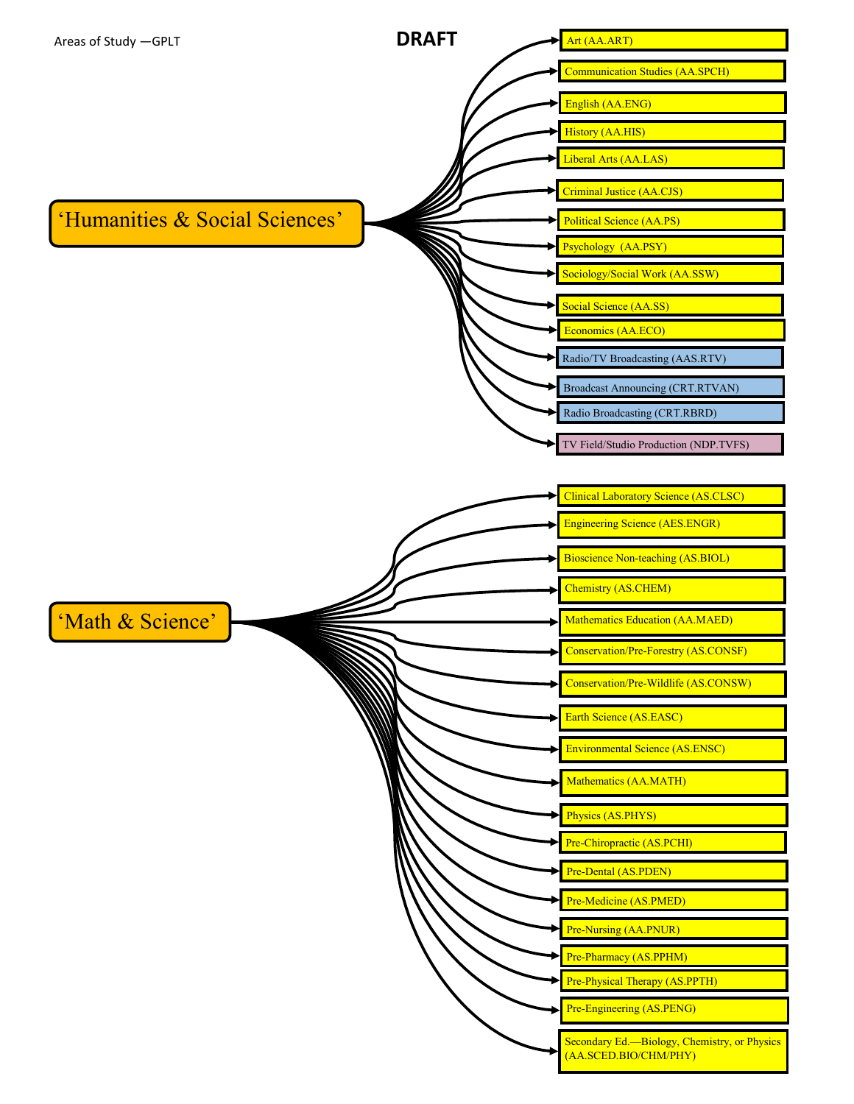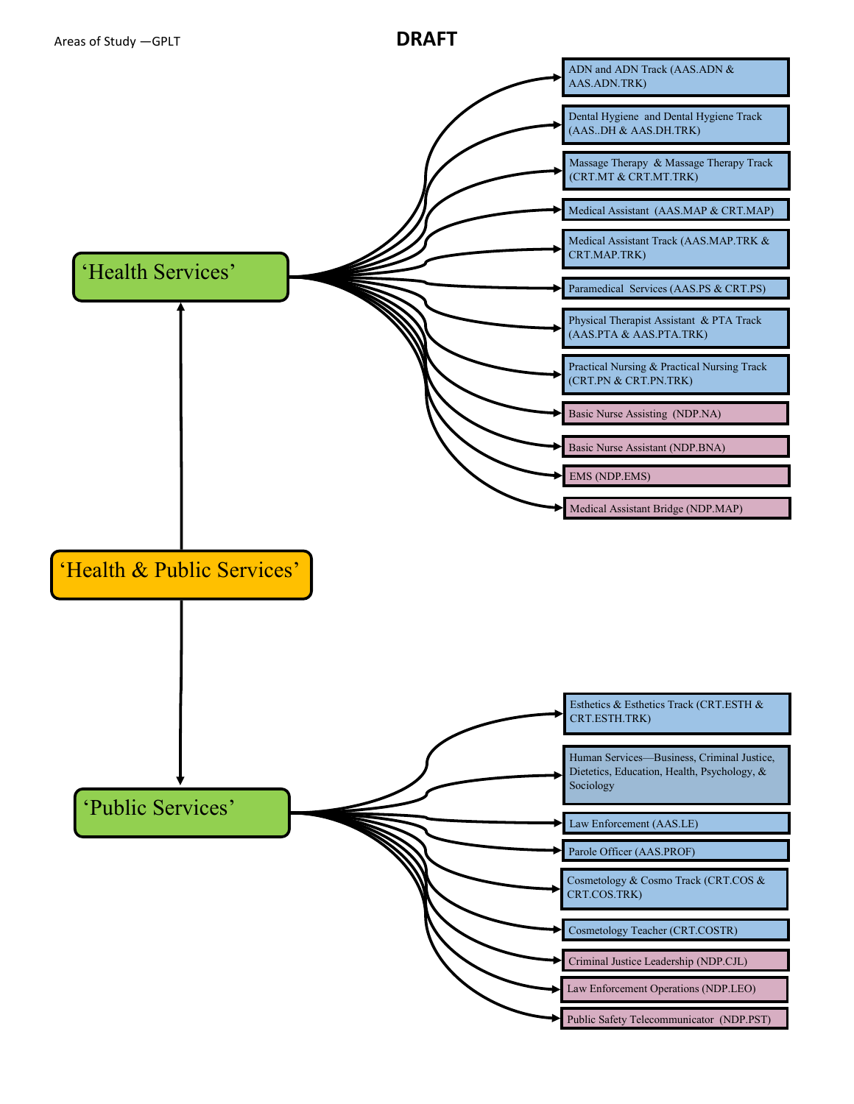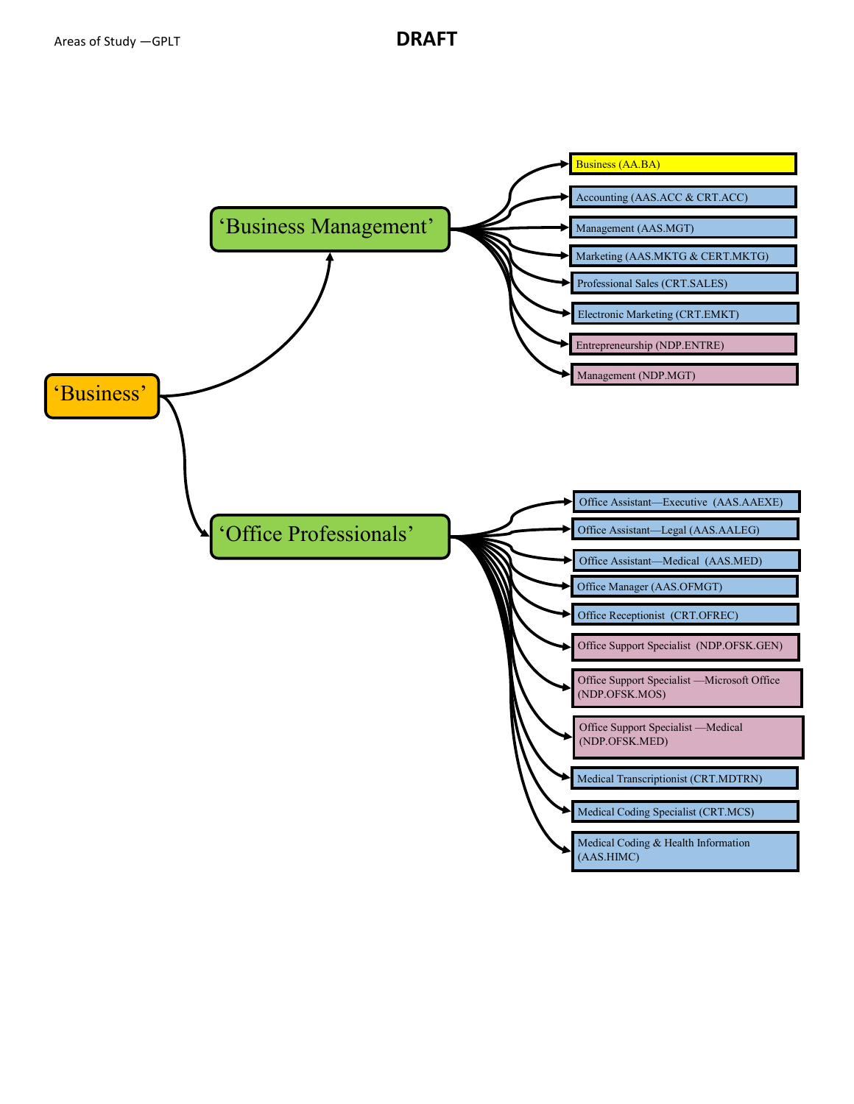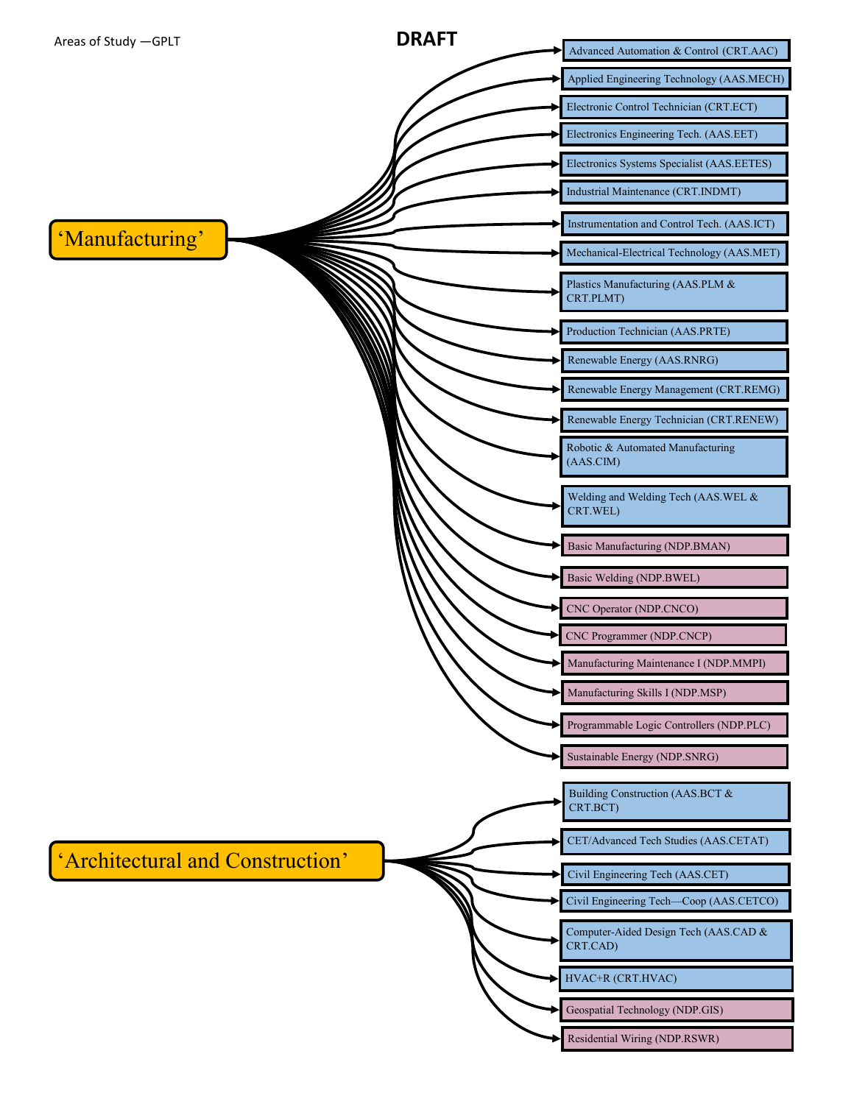